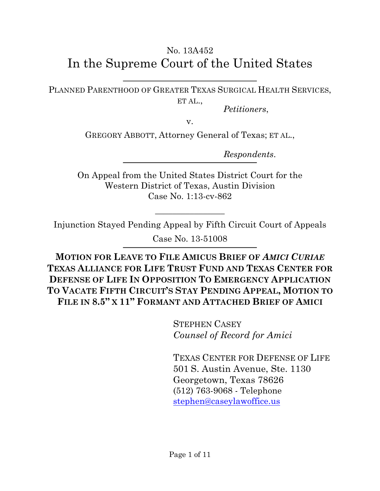# No. 13A452 In the Supreme Court of the United States

PLANNED PARENTHOOD OF GREATER TEXAS SURGICAL HEALTH SERVICES, ET AL.,

*Petitioners*,

v.

GREGORY ABBOTT, Attorney General of Texas; ET AL.,

*Respondents*.

On Appeal from the United States District Court for the Western District of Texas, Austin Division Case No. 1:13-cv-862

Injunction Stayed Pending Appeal by Fifth Circuit Court of Appeals

 $\overline{\phantom{a}}$  , where  $\overline{\phantom{a}}$ 

Case No. 13-51008

**MOTION FOR LEAVE TO FILE AMICUS BRIEF OF** *AMICI CURIAE*  **TEXAS ALLIANCE FOR LIFE TRUST FUND AND TEXAS CENTER FOR DEFENSE OF LIFE IN OPPOSITION TO EMERGENCY APPLICATION TO VACATE FIFTH CIRCUIT'S STAY PENDING APPEAL, MOTION TO FILE IN 8.5" X 11" FORMANT AND ATTACHED BRIEF OF AMICI**

> STEPHEN CASEY *Counsel of Record for Amici*

TEXAS CENTER FOR DEFENSE OF LIFE 501 S. Austin Avenue, Ste. 1130 Georgetown, Texas 78626 (512) 763-9068 - Telephone stephen@caseylawoffice.us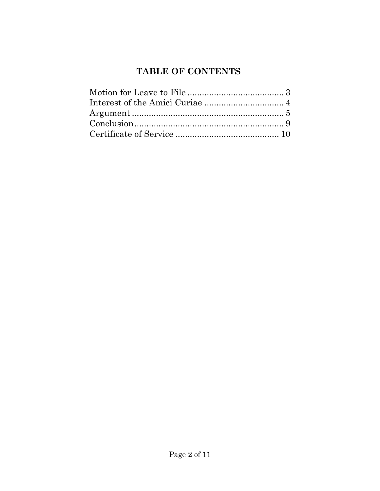# **TABLE OF CONTENTS**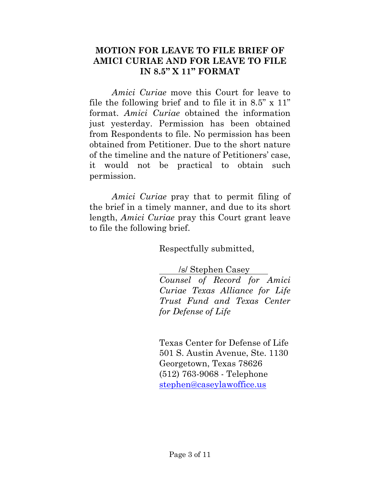#### **MOTION FOR LEAVE TO FILE BRIEF OF AMICI CURIAE AND FOR LEAVE TO FILE IN 8.5" X 11" FORMAT**

*Amici Curiae* move this Court for leave to file the following brief and to file it in  $8.5$ "  $\times$  11" format. *Amici Curiae* obtained the information just yesterday. Permission has been obtained from Respondents to file. No permission has been obtained from Petitioner. Due to the short nature of the timeline and the nature of Petitioners' case, it would not be practical to obtain such permission.

*Amici Curiae* pray that to permit filing of the brief in a timely manner, and due to its short length, *Amici Curiae* pray this Court grant leave to file the following brief.

Respectfully submitted,

/s/ Stephen Casey *Counsel of Record for Amici Curiae Texas Alliance for Life Trust Fund and Texas Center for Defense of Life*

Texas Center for Defense of Life 501 S. Austin Avenue, Ste. 1130 Georgetown, Texas 78626 (512) 763-9068 - Telephone stephen@caseylawoffice.us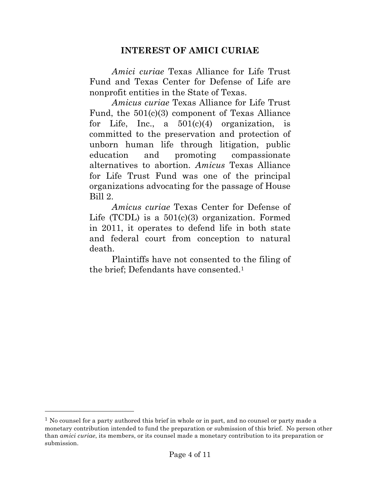### **INTEREST OF AMICI CURIAE**

*Amici curiae* Texas Alliance for Life Trust Fund and Texas Center for Defense of Life are nonprofit entities in the State of Texas.

*Amicus curiae* Texas Alliance for Life Trust Fund, the 501(c)(3) component of Texas Alliance for Life, Inc., a  $501(c)(4)$  organization, is committed to the preservation and protection of unborn human life through litigation, public education and promoting compassionate alternatives to abortion. *Amicus* Texas Alliance for Life Trust Fund was one of the principal organizations advocating for the passage of House Bill 2.

*Amicus curiae* Texas Center for Defense of Life (TCDL) is a  $501(c)(3)$  organization. Formed in 2011, it operates to defend life in both state and federal court from conception to natural death.

Plaintiffs have not consented to the filing of the brief; Defendants have consented.1

l

<sup>&</sup>lt;sup>1</sup> No counsel for a party authored this brief in whole or in part, and no counsel or party made a monetary contribution intended to fund the preparation or submission of this brief. No person other than *amici curiae*, its members, or its counsel made a monetary contribution to its preparation or submission.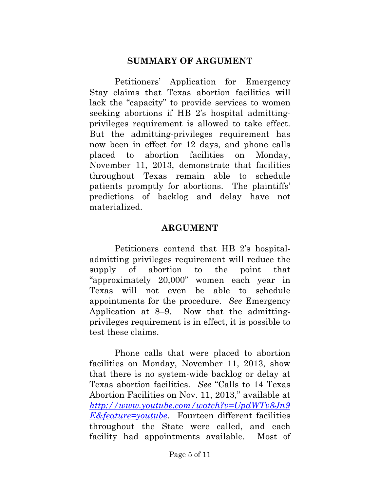#### **SUMMARY OF ARGUMENT**

Petitioners' Application for Emergency Stay claims that Texas abortion facilities will lack the "capacity" to provide services to women seeking abortions if HB 2's hospital admittingprivileges requirement is allowed to take effect. But the admitting-privileges requirement has now been in effect for 12 days, and phone calls placed to abortion facilities on Monday, November 11, 2013, demonstrate that facilities throughout Texas remain able to schedule patients promptly for abortions. The plaintiffs' predictions of backlog and delay have not materialized.

#### **ARGUMENT**

Petitioners contend that HB 2's hospitaladmitting privileges requirement will reduce the supply of abortion to the point that "approximately 20,000" women each year in Texas will not even be able to schedule appointments for the procedure. *See* Emergency Application at 8–9. Now that the admittingprivileges requirement is in effect, it is possible to test these claims.

Phone calls that were placed to abortion facilities on Monday, November 11, 2013, show that there is no system-wide backlog or delay at Texas abortion facilities. *See* "Calls to 14 Texas Abortion Facilities on Nov. 11, 2013," available at *http://www.youtube.com/watch?v=UpdWTv8Jn9 E&feature=youtube*. Fourteen different facilities throughout the State were called, and each facility had appointments available. Most of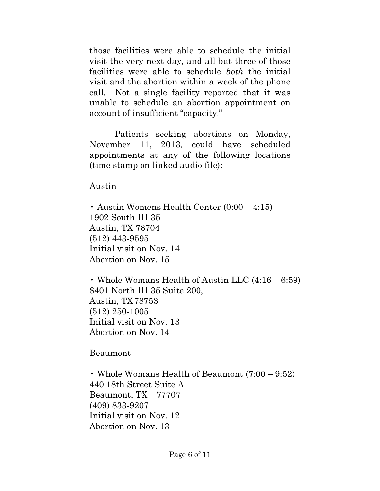those facilities were able to schedule the initial visit the very next day, and all but three of those facilities were able to schedule *both* the initial visit and the abortion within a week of the phone call. Not a single facility reported that it was unable to schedule an abortion appointment on account of insufficient "capacity."

Patients seeking abortions on Monday, November 11, 2013, could have scheduled appointments at any of the following locations (time stamp on linked audio file):

Austin

• Austin Womens Health Center (0:00 – 4:15) 1902 South IH 35 Austin, TX 78704 (512) 443-9595 Initial visit on Nov. 14 Abortion on Nov. 15

• Whole Womans Health of Austin LLC (4:16 – 6:59) 8401 North IH 35 Suite 200, Austin, TX78753 (512) 250-1005 Initial visit on Nov. 13 Abortion on Nov. 14

Beaumont

• Whole Womans Health of Beaumont (7:00 – 9:52) 440 18th Street Suite A Beaumont, TX 77707 (409) 833-9207 Initial visit on Nov. 12 Abortion on Nov. 13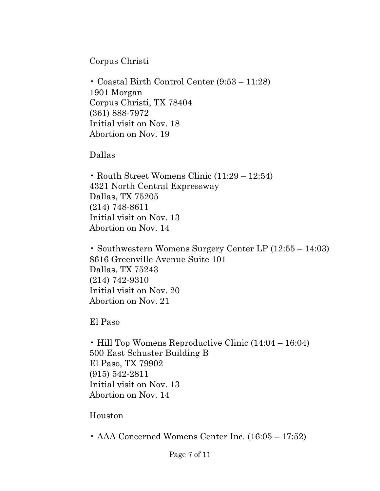Corpus Christi

• Coastal Birth Control Center (9:53 – 11:28) 1901 Morgan Corpus Christi, TX 78404 (361) 888-7972 Initial visit on Nov. 18 Abortion on Nov. 19

Dallas

• Routh Street Womens Clinic (11:29 – 12:54) 4321 North Central Expressway Dallas, TX 75205 (214) 748-8611 Initial visit on Nov. 13 Abortion on Nov. 14

• Southwestern Womens Surgery Center LP (12:55 – 14:03) 8616 Greenville Avenue Suite 101 Dallas, TX 75243 (214) 742-9310 Initial visit on Nov. 20 Abortion on Nov. 21

El Paso

• Hill Top Womens Reproductive Clinic (14:04 – 16:04) 500 East Schuster Building B El Paso, TX 79902 (915) 542-2811 Initial visit on Nov. 13 Abortion on Nov. 14

Houston

• AAA Concerned Womens Center Inc. (16:05 – 17:52)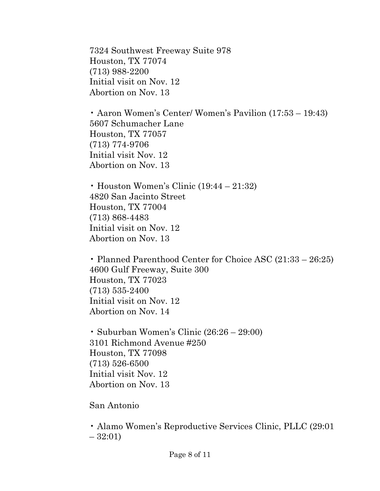7324 Southwest Freeway Suite 978 Houston, TX 77074 (713) 988-2200 Initial visit on Nov. 12 Abortion on Nov. 13

• Aaron Women's Center/ Women's Pavilion (17:53 – 19:43) 5607 Schumacher Lane Houston, TX 77057 (713) 774-9706 Initial visit Nov. 12 Abortion on Nov. 13

• Houston Women's Clinic (19:44 – 21:32) 4820 San Jacinto Street Houston, TX 77004 (713) 868-4483 Initial visit on Nov. 12 Abortion on Nov. 13

• Planned Parenthood Center for Choice ASC (21:33 – 26:25) 4600 Gulf Freeway, Suite 300 Houston, TX 77023 (713) 535-2400 Initial visit on Nov. 12 Abortion on Nov. 14

• Suburban Women's Clinic (26:26 – 29:00) 3101 Richmond Avenue #250 Houston, TX 77098 (713) 526-6500 Initial visit Nov. 12 Abortion on Nov. 13

San Antonio

• Alamo Women's Reproductive Services Clinic, PLLC (29:01  $-32:01$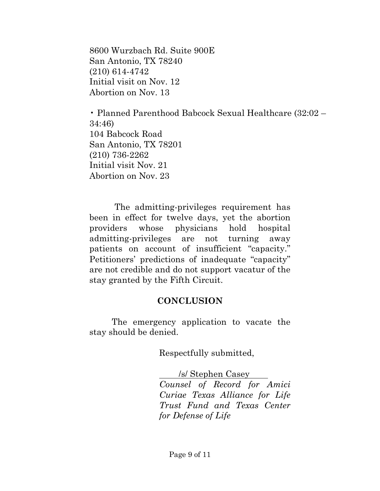8600 Wurzbach Rd. Suite 900E San Antonio, TX 78240 (210) 614-4742 Initial visit on Nov. 12 Abortion on Nov. 13

• Planned Parenthood Babcock Sexual Healthcare (32:02 – 34:46) 104 Babcock Road San Antonio, TX 78201 (210) 736-2262 Initial visit Nov. 21 Abortion on Nov. 23

The admitting-privileges requirement has been in effect for twelve days, yet the abortion providers whose physicians hold hospital admitting-privileges are not turning away patients on account of insufficient "capacity." Petitioners' predictions of inadequate "capacity" are not credible and do not support vacatur of the stay granted by the Fifth Circuit.

#### **CONCLUSION**

The emergency application to vacate the stay should be denied.

Respectfully submitted,

/s/ Stephen Casey *Counsel of Record for Amici Curiae Texas Alliance for Life Trust Fund and Texas Center for Defense of Life*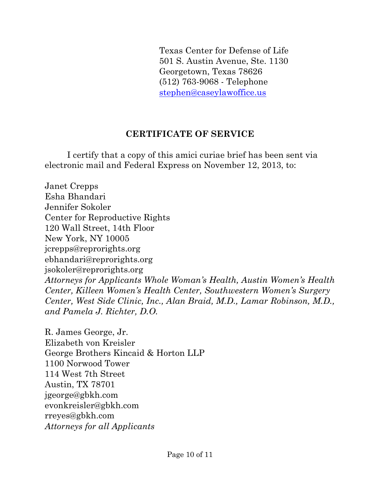Texas Center for Defense of Life 501 S. Austin Avenue, Ste. 1130 Georgetown, Texas 78626 (512) 763-9068 - Telephone stephen@caseylawoffice.us

## **CERTIFICATE OF SERVICE**

I certify that a copy of this amici curiae brief has been sent via electronic mail and Federal Express on November 12, 2013, to:

Janet Crepps Esha Bhandari Jennifer Sokoler Center for Reproductive Rights 120 Wall Street, 14th Floor New York, NY 10005 jcrepps@reprorights.org ebhandari@reprorights.org jsokoler@reprorights.org *Attorneys for Applicants Whole Woman's Health, Austin Women's Health Center, Killeen Women's Health Center, Southwestern Women's Surgery Center, West Side Clinic, Inc., Alan Braid, M.D., Lamar Robinson, M.D., and Pamela J. Richter, D.O.* 

R. James George, Jr. Elizabeth von Kreisler George Brothers Kincaid & Horton LLP 1100 Norwood Tower 114 West 7th Street Austin, TX 78701 jgeorge@gbkh.com evonkreisler@gbkh.com rreyes@gbkh.com *Attorneys for all Applicants*